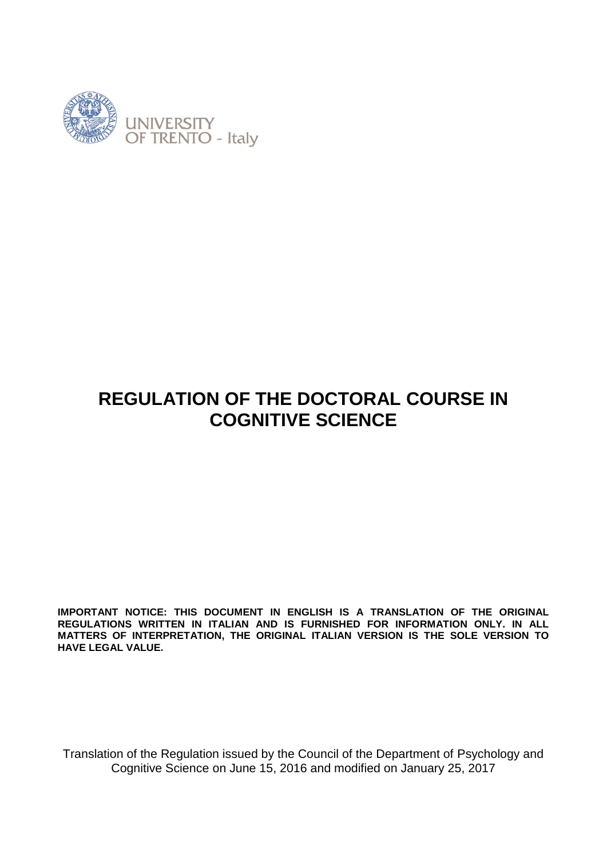

# **REGULATION OF THE DOCTORAL COURSE IN COGNITIVE SCIENCE**

**IMPORTANT NOTICE: THIS DOCUMENT IN ENGLISH IS A TRANSLATION OF THE ORIGINAL REGULATIONS WRITTEN IN ITALIAN AND IS FURNISHED FOR INFORMATION ONLY. IN ALL MATTERS OF INTERPRETATION, THE ORIGINAL ITALIAN VERSION IS THE SOLE VERSION TO HAVE LEGAL VALUE.**

Translation of the Regulation issued by the Council of the Department of Psychology and Cognitive Science on June 15, 2016 and modified on January 25, 2017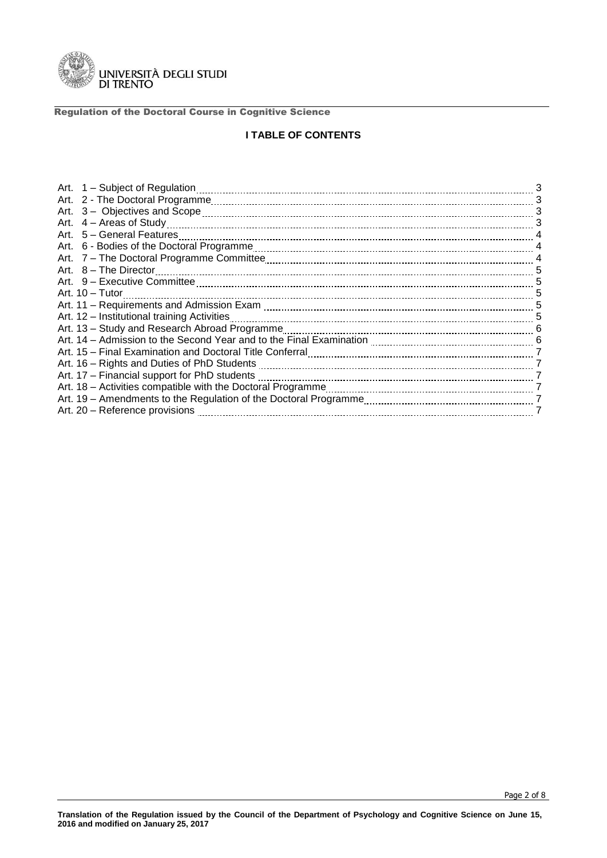

# **I TABLE OF CONTENTS**

|                                                                                                                                                                                                                                | 3              |
|--------------------------------------------------------------------------------------------------------------------------------------------------------------------------------------------------------------------------------|----------------|
|                                                                                                                                                                                                                                | 3              |
|                                                                                                                                                                                                                                | 3              |
|                                                                                                                                                                                                                                | 3              |
| Art. 5 – General Features                                                                                                                                                                                                      | 4              |
|                                                                                                                                                                                                                                | $\overline{4}$ |
|                                                                                                                                                                                                                                | $\overline{4}$ |
|                                                                                                                                                                                                                                | 5              |
|                                                                                                                                                                                                                                | 5              |
| Art. $10 - Tutor$                                                                                                                                                                                                              | 5              |
|                                                                                                                                                                                                                                | 5              |
| Art. 12 - Institutional training Activities                                                                                                                                                                                    | 5              |
| Art. 13 - Study and Research Abroad Programme                                                                                                                                                                                  |                |
|                                                                                                                                                                                                                                | $-6$           |
| Art. 15 - Final Examination and Doctoral Title Conferral [111] [12] Art. 15 - Final Examination and Doctoral Title Conferral [11] [12] Art. 15 - Final Examination and Doctoral Title Conferral [12] [12] Art. 15 - Final Exam | 7              |
| Art. 16 - Rights and Duties of PhD Students <b>Construct Construct Construct</b> 20 and 20 and 20 and 20 and 20 and 20                                                                                                         |                |
| Art. 17 - Financial support for PhD students                                                                                                                                                                                   | 7              |
|                                                                                                                                                                                                                                | 7              |
|                                                                                                                                                                                                                                | 7              |
| Art. 20 - Reference provisions                                                                                                                                                                                                 |                |
|                                                                                                                                                                                                                                |                |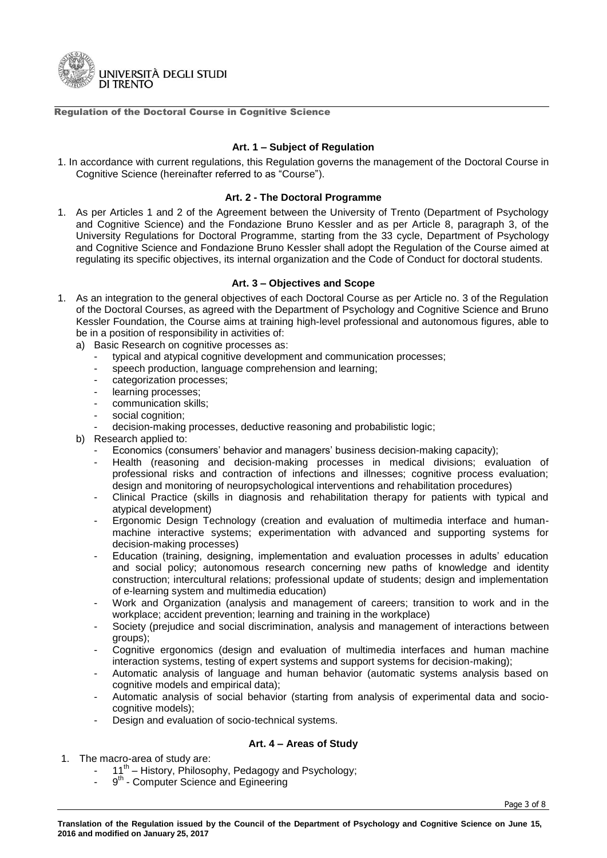

## **Art. 1 – Subject of Regulation**

1. In accordance with current regulations, this Regulation governs the management of the Doctoral Course in Cognitive Science (hereinafter referred to as "Course").

### **Art. 2 - The Doctoral Programme**

1. As per Articles 1 and 2 of the Agreement between the University of Trento (Department of Psychology and Cognitive Science) and the Fondazione Bruno Kessler and as per Article 8, paragraph 3, of the University Regulations for Doctoral Programme, starting from the 33 cycle, Department of Psychology and Cognitive Science and Fondazione Bruno Kessler shall adopt the Regulation of the Course aimed at regulating its specific objectives, its internal organization and the Code of Conduct for doctoral students.

## **Art. 3 – Objectives and Scope**

- 1. As an integration to the general objectives of each Doctoral Course as per Article no. 3 of the Regulation of the Doctoral Courses, as agreed with the Department of Psychology and Cognitive Science and Bruno Kessler Foundation, the Course aims at training high-level professional and autonomous figures, able to be in a position of responsibility in activities of:
	- a) Basic Research on cognitive processes as:
		- typical and atypical cognitive development and communication processes;
		- speech production, language comprehension and learning;
		- categorization processes;
		- learning processes;
		- communication skills:
		- social cognition;
		- decision-making processes, deductive reasoning and probabilistic logic;
	- b) Research applied to:
		- Economics (consumers' behavior and managers' business decision-making capacity);
		- Health (reasoning and decision-making processes in medical divisions; evaluation of professional risks and contraction of infections and illnesses; cognitive process evaluation; design and monitoring of neuropsychological interventions and rehabilitation procedures)
		- Clinical Practice (skills in diagnosis and rehabilitation therapy for patients with typical and atypical development)
		- Ergonomic Design Technology (creation and evaluation of multimedia interface and humanmachine interactive systems; experimentation with advanced and supporting systems for decision-making processes)
		- Education (training, designing, implementation and evaluation processes in adults' education and social policy; autonomous research concerning new paths of knowledge and identity construction; intercultural relations; professional update of students; design and implementation of e-learning system and multimedia education)
		- Work and Organization (analysis and management of careers; transition to work and in the workplace; accident prevention; learning and training in the workplace)
		- Society (prejudice and social discrimination, analysis and management of interactions between groups);
		- Cognitive ergonomics (design and evaluation of multimedia interfaces and human machine interaction systems, testing of expert systems and support systems for decision-making);
		- Automatic analysis of language and human behavior (automatic systems analysis based on cognitive models and empirical data);
		- Automatic analysis of social behavior (starting from analysis of experimental data and sociocognitive models);
		- Design and evaluation of socio-technical systems.

# **Art. 4 – Areas of Study**

- 1. The macro-area of study are:
	- 11<sup>th</sup> History, Philosophy, Pedagogy and Psychology;
	- 9<sup>th</sup> Computer Science and Egineering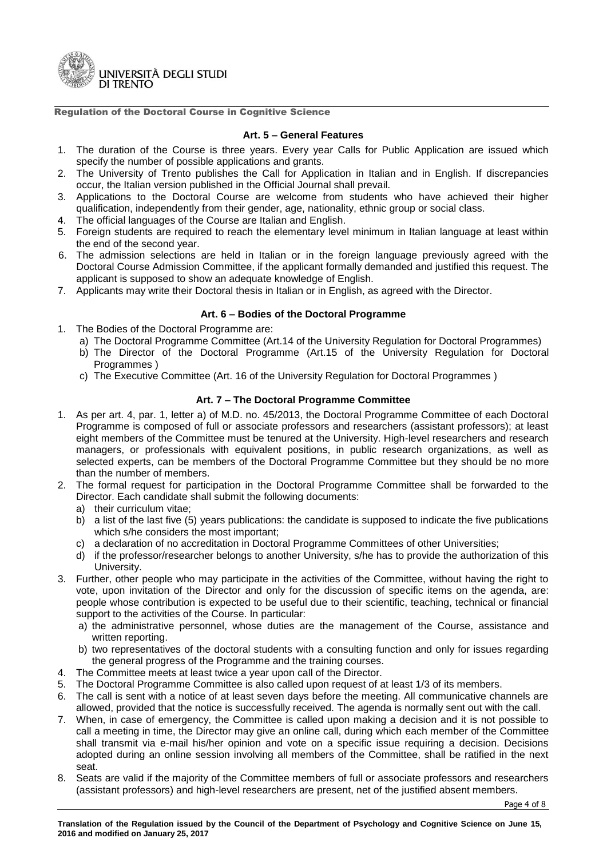

#### **Art. 5 – General Features**

- 1. The duration of the Course is three years. Every year Calls for Public Application are issued which specify the number of possible applications and grants.
- 2. The University of Trento publishes the Call for Application in Italian and in English. If discrepancies occur, the Italian version published in the Official Journal shall prevail.
- 3. Applications to the Doctoral Course are welcome from students who have achieved their higher qualification, independently from their gender, age, nationality, ethnic group or social class.
- 4. The official languages of the Course are Italian and English.
- 5. Foreign students are required to reach the elementary level minimum in Italian language at least within the end of the second year.
- 6. The admission selections are held in Italian or in the foreign language previously agreed with the Doctoral Course Admission Committee, if the applicant formally demanded and justified this request. The applicant is supposed to show an adequate knowledge of English.
- 7. Applicants may write their Doctoral thesis in Italian or in English, as agreed with the Director.

## **Art. 6 – Bodies of the Doctoral Programme**

- 1. The Bodies of the Doctoral Programme are:
	- a) The Doctoral Programme Committee (Art.14 of the University Regulation for Doctoral Programmes)
	- b) The Director of the Doctoral Programme (Art.15 of the University Regulation for Doctoral Programmes )
	- c) The Executive Committee (Art. 16 of the University Regulation for Doctoral Programmes )

## **Art. 7 – The Doctoral Programme Committee**

- 1. As per art. 4, par. 1, letter a) of M.D. no. 45/2013, the Doctoral Programme Committee of each Doctoral Programme is composed of full or associate professors and researchers (assistant professors); at least eight members of the Committee must be tenured at the University. High-level researchers and research managers, or professionals with equivalent positions, in public research organizations, as well as selected experts, can be members of the Doctoral Programme Committee but they should be no more than the number of members.
- 2. The formal request for participation in the Doctoral Programme Committee shall be forwarded to the Director. Each candidate shall submit the following documents:
	- a) their curriculum vitae;
	- b) a list of the last five (5) years publications: the candidate is supposed to indicate the five publications which s/he considers the most important;
	- c) a declaration of no accreditation in Doctoral Programme Committees of other Universities;
	- d) if the professor/researcher belongs to another University, s/he has to provide the authorization of this University.
- 3. Further, other people who may participate in the activities of the Committee, without having the right to vote, upon invitation of the Director and only for the discussion of specific items on the agenda, are: people whose contribution is expected to be useful due to their scientific, teaching, technical or financial support to the activities of the Course. In particular:
	- a) the administrative personnel, whose duties are the management of the Course, assistance and written reporting.
	- b) two representatives of the doctoral students with a consulting function and only for issues regarding the general progress of the Programme and the training courses.
- 4. The Committee meets at least twice a year upon call of the Director.
- 5. The Doctoral Programme Committee is also called upon request of at least 1/3 of its members.
- 6. The call is sent with a notice of at least seven days before the meeting. All communicative channels are allowed, provided that the notice is successfully received. The agenda is normally sent out with the call.
- 7. When, in case of emergency, the Committee is called upon making a decision and it is not possible to call a meeting in time, the Director may give an online call, during which each member of the Committee shall transmit via e-mail his/her opinion and vote on a specific issue requiring a decision. Decisions adopted during an online session involving all members of the Committee, shall be ratified in the next seat.
- 8. Seats are valid if the majority of the Committee members of full or associate professors and researchers (assistant professors) and high-level researchers are present, net of the justified absent members.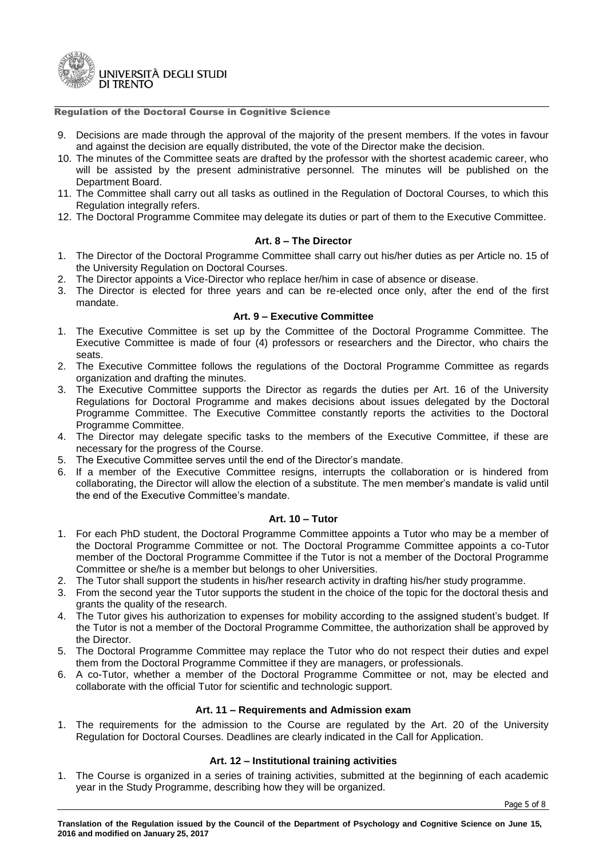

- 9. Decisions are made through the approval of the majority of the present members. If the votes in favour and against the decision are equally distributed, the vote of the Director make the decision.
- 10. The minutes of the Committee seats are drafted by the professor with the shortest academic career, who will be assisted by the present administrative personnel. The minutes will be published on the Department Board.
- 11. The Committee shall carry out all tasks as outlined in the Regulation of Doctoral Courses, to which this Regulation integrally refers.
- 12. The Doctoral Programme Commitee may delegate its duties or part of them to the Executive Committee.

## **Art. 8 – The Director**

- 1. The Director of the Doctoral Programme Committee shall carry out his/her duties as per Article no. 15 of the University Regulation on Doctoral Courses.
- 2. The Director appoints a Vice-Director who replace her/him in case of absence or disease.
- 3. The Director is elected for three years and can be re-elected once only, after the end of the first mandate.

### **Art. 9 – Executive Committee**

- 1. The Executive Committee is set up by the Committee of the Doctoral Programme Committee. The Executive Committee is made of four (4) professors or researchers and the Director, who chairs the seats.
- 2. The Executive Committee follows the regulations of the Doctoral Programme Committee as regards organization and drafting the minutes.
- 3. The Executive Committee supports the Director as regards the duties per Art. 16 of the University Regulations for Doctoral Programme and makes decisions about issues delegated by the Doctoral Programme Committee. The Executive Committee constantly reports the activities to the Doctoral Programme Committee.
- 4. The Director may delegate specific tasks to the members of the Executive Committee, if these are necessary for the progress of the Course.
- 5. The Executive Committee serves until the end of the Director's mandate.
- 6. If a member of the Executive Committee resigns, interrupts the collaboration or is hindered from collaborating, the Director will allow the election of a substitute. The men member's mandate is valid until the end of the Executive Committee's mandate.

# **Art. 10 – Tutor**

- 1. For each PhD student, the Doctoral Programme Committee appoints a Tutor who may be a member of the Doctoral Programme Committee or not. The Doctoral Programme Committee appoints a co-Tutor member of the Doctoral Programme Committee if the Tutor is not a member of the Doctoral Programme Committee or she/he is a member but belongs to oher Universities.
- 2. The Tutor shall support the students in his/her research activity in drafting his/her study programme.
- 3. From the second year the Tutor supports the student in the choice of the topic for the doctoral thesis and grants the quality of the research.
- 4. The Tutor gives his authorization to expenses for mobility according to the assigned student's budget. If the Tutor is not a member of the Doctoral Programme Committee, the authorization shall be approved by the Director.
- 5. The Doctoral Programme Committee may replace the Tutor who do not respect their duties and expel them from the Doctoral Programme Committee if they are managers, or professionals.
- 6. A co-Tutor, whether a member of the Doctoral Programme Committee or not, may be elected and collaborate with the official Tutor for scientific and technologic support.

### **Art. 11 – Requirements and Admission exam**

1. The requirements for the admission to the Course are regulated by the Art. 20 of the University Regulation for Doctoral Courses. Deadlines are clearly indicated in the Call for Application.

# **Art. 12 – Institutional training activities**

1. The Course is organized in a series of training activities, submitted at the beginning of each academic year in the Study Programme, describing how they will be organized.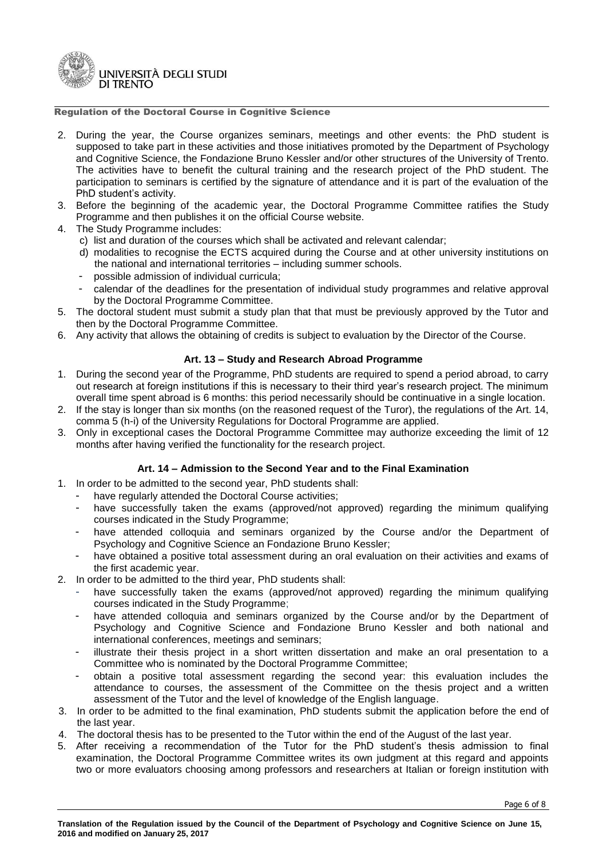

- 2. During the year, the Course organizes seminars, meetings and other events: the PhD student is supposed to take part in these activities and those initiatives promoted by the Department of Psychology and Cognitive Science, the Fondazione Bruno Kessler and/or other structures of the University of Trento. The activities have to benefit the cultural training and the research project of the PhD student. The participation to seminars is certified by the signature of attendance and it is part of the evaluation of the PhD student's activity.
- 3. Before the beginning of the academic year, the Doctoral Programme Committee ratifies the Study Programme and then publishes it on the official Course website.
- 4. The Study Programme includes:
	- c) list and duration of the courses which shall be activated and relevant calendar;
	- d) modalities to recognise the ECTS acquired during the Course and at other university institutions on the national and international territories – including summer schools.
	- possible admission of individual curricula;
	- calendar of the deadlines for the presentation of individual study programmes and relative approval by the Doctoral Programme Committee.
- 5. The doctoral student must submit a study plan that that must be previously approved by the Tutor and then by the Doctoral Programme Committee.
- 6. Any activity that allows the obtaining of credits is subject to evaluation by the Director of the Course.

# **Art. 13 – Study and Research Abroad Programme**

- 1. During the second year of the Programme, PhD students are required to spend a period abroad, to carry out research at foreign institutions if this is necessary to their third year's research project. The minimum overall time spent abroad is 6 months: this period necessarily should be continuative in a single location.
- 2. If the stay is longer than six months (on the reasoned request of the Turor), the regulations of the Art. 14, comma 5 (h-i) of the University Regulations for Doctoral Programme are applied.
- 3. Only in exceptional cases the Doctoral Programme Committee may authorize exceeding the limit of 12 months after having verified the functionality for the research project.

# **Art. 14 – Admission to the Second Year and to the Final Examination**

- 1. In order to be admitted to the second year, PhD students shall:
	- have regularly attended the Doctoral Course activities;
	- have successfully taken the exams (approved/not approved) regarding the minimum qualifying courses indicated in the Study Programme;
	- have attended colloquia and seminars organized by the Course and/or the Department of Psychology and Cognitive Science an Fondazione Bruno Kessler;
	- have obtained a positive total assessment during an oral evaluation on their activities and exams of the first academic year.
- 2. In order to be admitted to the third year, PhD students shall:
	- have successfully taken the exams (approved/not approved) regarding the minimum qualifying courses indicated in the Study Programme;
	- have attended colloquia and seminars organized by the Course and/or by the Department of Psychology and Cognitive Science and Fondazione Bruno Kessler and both national and international conferences, meetings and seminars;
	- illustrate their thesis project in a short written dissertation and make an oral presentation to a Committee who is nominated by the Doctoral Programme Committee;
	- obtain a positive total assessment regarding the second year: this evaluation includes the attendance to courses, the assessment of the Committee on the thesis project and a written assessment of the Tutor and the level of knowledge of the English language.
- 3. In order to be admitted to the final examination, PhD students submit the application before the end of the last year.
- 4. The doctoral thesis has to be presented to the Tutor within the end of the August of the last year.
- 5. After receiving a recommendation of the Tutor for the PhD student's thesis admission to final examination, the Doctoral Programme Committee writes its own judgment at this regard and appoints two or more evaluators choosing among professors and researchers at Italian or foreign institution with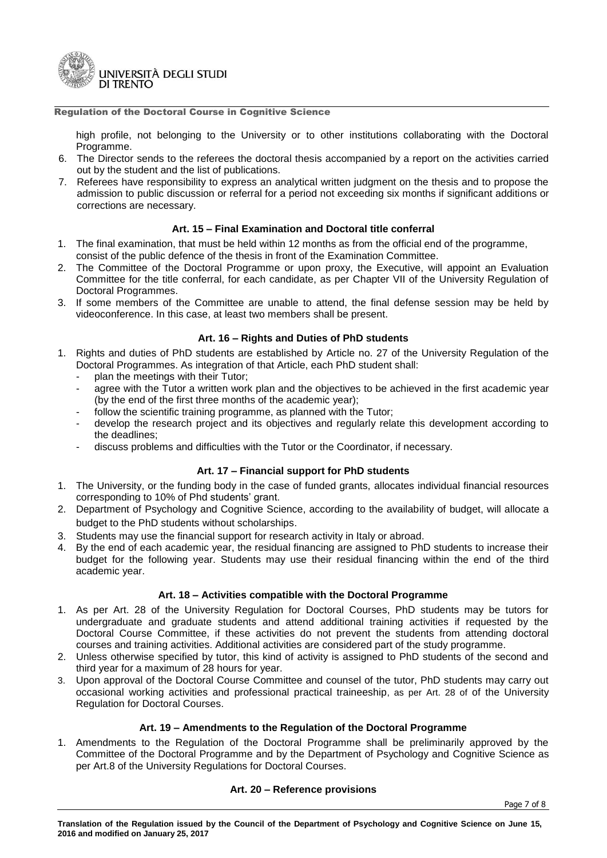

high profile, not belonging to the University or to other institutions collaborating with the Doctoral Programme.

- 6. The Director sends to the referees the doctoral thesis accompanied by a report on the activities carried out by the student and the list of publications.
- 7. Referees have responsibility to express an analytical written judgment on the thesis and to propose the admission to public discussion or referral for a period not exceeding six months if significant additions or corrections are necessary.

# **Art. 15 – Final Examination and Doctoral title conferral**

- 1. The final examination, that must be held within 12 months as from the official end of the programme, consist of the public defence of the thesis in front of the Examination Committee.
- 2. The Committee of the Doctoral Programme or upon proxy, the Executive, will appoint an Evaluation Committee for the title conferral, for each candidate, as per Chapter VII of the University Regulation of Doctoral Programmes.
- 3. If some members of the Committee are unable to attend, the final defense session may be held by videoconference. In this case, at least two members shall be present.

## **Art. 16 – Rights and Duties of PhD students**

- 1. Rights and duties of PhD students are established by Article no. 27 of the University Regulation of the Doctoral Programmes. As integration of that Article, each PhD student shall:
	- plan the meetings with their Tutor;
	- agree with the Tutor a written work plan and the objectives to be achieved in the first academic year (by the end of the first three months of the academic year);
	- follow the scientific training programme, as planned with the Tutor;
	- develop the research project and its objectives and regularly relate this development according to the deadlines;
	- discuss problems and difficulties with the Tutor or the Coordinator, if necessary.

# **Art. 17 – Financial support for PhD students**

- 1. The University, or the funding body in the case of funded grants, allocates individual financial resources corresponding to 10% of Phd students' grant.
- 2. Department of Psychology and Cognitive Science, according to the availability of budget, will allocate a budget to the PhD students without scholarships.
- 3. Students may use the financial support for research activity in Italy or abroad.
- 4. By the end of each academic year, the residual financing are assigned to PhD students to increase their budget for the following year. Students may use their residual financing within the end of the third academic year.

### **Art. 18 – Activities compatible with the Doctoral Programme**

- 1. As per Art. 28 of the University Regulation for Doctoral Courses, PhD students may be tutors for undergraduate and graduate students and attend additional training activities if requested by the Doctoral Course Committee, if these activities do not prevent the students from attending doctoral courses and training activities. Additional activities are considered part of the study programme.
- 2. Unless otherwise specified by tutor, this kind of activity is assigned to PhD students of the second and third year for a maximum of 28 hours for year.
- 3. Upon approval of the Doctoral Course Committee and counsel of the tutor, PhD students may carry out occasional working activities and professional practical traineeship, as per Art. 28 of of the University Regulation for Doctoral Courses.

# **Art. 19 – Amendments to the Regulation of the Doctoral Programme**

1. Amendments to the Regulation of the Doctoral Programme shall be preliminarily approved by the Committee of the Doctoral Programme and by the Department of Psychology and Cognitive Science as per Art.8 of the University Regulations for Doctoral Courses.

### **Art. 20 – Reference provisions**